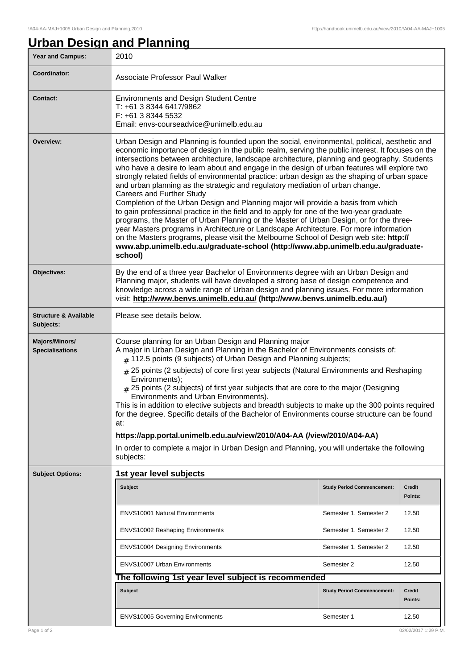## **Urban Design and Planning**

| <b>Year and Campus:</b>                       | 2010                                                                                                                                                                                                                                                                                                                                                                                                                                                                                                                                                                                                                                                                                                                                                                                                                                                                                                                                                                                                                                                                                                                                                                           |                                   |                          |
|-----------------------------------------------|--------------------------------------------------------------------------------------------------------------------------------------------------------------------------------------------------------------------------------------------------------------------------------------------------------------------------------------------------------------------------------------------------------------------------------------------------------------------------------------------------------------------------------------------------------------------------------------------------------------------------------------------------------------------------------------------------------------------------------------------------------------------------------------------------------------------------------------------------------------------------------------------------------------------------------------------------------------------------------------------------------------------------------------------------------------------------------------------------------------------------------------------------------------------------------|-----------------------------------|--------------------------|
| Coordinator:                                  | Associate Professor Paul Walker                                                                                                                                                                                                                                                                                                                                                                                                                                                                                                                                                                                                                                                                                                                                                                                                                                                                                                                                                                                                                                                                                                                                                |                                   |                          |
| <b>Contact:</b>                               | <b>Environments and Design Student Centre</b><br>T: +61 3 8344 6417/9862<br>F: +61 3 8344 5532<br>Email: envs-courseadvice@unimelb.edu.au                                                                                                                                                                                                                                                                                                                                                                                                                                                                                                                                                                                                                                                                                                                                                                                                                                                                                                                                                                                                                                      |                                   |                          |
| Overview:                                     | Urban Design and Planning is founded upon the social, environmental, political, aesthetic and<br>economic importance of design in the public realm, serving the public interest. It focuses on the<br>intersections between architecture, landscape architecture, planning and geography. Students<br>who have a desire to learn about and engage in the design of urban features will explore two<br>strongly related fields of environmental practice: urban design as the shaping of urban space<br>and urban planning as the strategic and regulatory mediation of urban change.<br>Careers and Further Study<br>Completion of the Urban Design and Planning major will provide a basis from which<br>to gain professional practice in the field and to apply for one of the two-year graduate<br>programs, the Master of Urban Planning or the Master of Urban Design, or for the three-<br>year Masters programs in Architecture or Landscape Architecture. For more information<br>on the Masters programs, please visit the Melbourne School of Design web site: http://<br>www.abp.unimelb.edu.au/graduate-school (http://www.abp.unimelb.edu.au/graduate-<br>school) |                                   |                          |
| Objectives:                                   | By the end of a three year Bachelor of Environments degree with an Urban Design and<br>Planning major, students will have developed a strong base of design competence and<br>knowledge across a wide range of Urban design and planning issues. For more information<br>visit: http://www.benvs.unimelb.edu.au/ (http://www.benvs.unimelb.edu.au/)                                                                                                                                                                                                                                                                                                                                                                                                                                                                                                                                                                                                                                                                                                                                                                                                                            |                                   |                          |
| <b>Structure &amp; Available</b><br>Subjects: | Please see details below.                                                                                                                                                                                                                                                                                                                                                                                                                                                                                                                                                                                                                                                                                                                                                                                                                                                                                                                                                                                                                                                                                                                                                      |                                   |                          |
| Majors/Minors/<br><b>Specialisations</b>      | Course planning for an Urban Design and Planning major<br>A major in Urban Design and Planning in the Bachelor of Environments consists of:<br>$#$ 112.5 points (9 subjects) of Urban Design and Planning subjects;<br># 25 points (2 subjects) of core first year subjects (Natural Environments and Reshaping<br>Environments);<br>$#$ 25 points (2 subjects) of first year subjects that are core to the major (Designing<br>Environments and Urban Environments).<br>This is in addition to elective subjects and breadth subjects to make up the 300 points required<br>for the degree. Specific details of the Bachelor of Environments course structure can be found<br>at:<br>https://app.portal.unimelb.edu.au/view/2010/A04-AA (/view/2010/A04-AA)<br>In order to complete a major in Urban Design and Planning, you will undertake the following<br>subjects:                                                                                                                                                                                                                                                                                                       |                                   |                          |
| <b>Subject Options:</b>                       | 1st year level subjects                                                                                                                                                                                                                                                                                                                                                                                                                                                                                                                                                                                                                                                                                                                                                                                                                                                                                                                                                                                                                                                                                                                                                        |                                   |                          |
|                                               | Subject                                                                                                                                                                                                                                                                                                                                                                                                                                                                                                                                                                                                                                                                                                                                                                                                                                                                                                                                                                                                                                                                                                                                                                        | <b>Study Period Commencement:</b> | <b>Credit</b><br>Points: |
|                                               | <b>ENVS10001 Natural Environments</b>                                                                                                                                                                                                                                                                                                                                                                                                                                                                                                                                                                                                                                                                                                                                                                                                                                                                                                                                                                                                                                                                                                                                          | Semester 1, Semester 2            | 12.50                    |
|                                               | <b>ENVS10002 Reshaping Environments</b>                                                                                                                                                                                                                                                                                                                                                                                                                                                                                                                                                                                                                                                                                                                                                                                                                                                                                                                                                                                                                                                                                                                                        | Semester 1, Semester 2            | 12.50                    |
|                                               | <b>ENVS10004 Designing Environments</b>                                                                                                                                                                                                                                                                                                                                                                                                                                                                                                                                                                                                                                                                                                                                                                                                                                                                                                                                                                                                                                                                                                                                        | Semester 1, Semester 2            | 12.50                    |
|                                               | <b>ENVS10007 Urban Environments</b>                                                                                                                                                                                                                                                                                                                                                                                                                                                                                                                                                                                                                                                                                                                                                                                                                                                                                                                                                                                                                                                                                                                                            | Semester 2                        | 12.50                    |
|                                               | The following 1st year level subject is recommended                                                                                                                                                                                                                                                                                                                                                                                                                                                                                                                                                                                                                                                                                                                                                                                                                                                                                                                                                                                                                                                                                                                            |                                   |                          |
|                                               | Subject                                                                                                                                                                                                                                                                                                                                                                                                                                                                                                                                                                                                                                                                                                                                                                                                                                                                                                                                                                                                                                                                                                                                                                        | <b>Study Period Commencement:</b> | <b>Credit</b><br>Points: |
|                                               | <b>ENVS10005 Governing Environments</b>                                                                                                                                                                                                                                                                                                                                                                                                                                                                                                                                                                                                                                                                                                                                                                                                                                                                                                                                                                                                                                                                                                                                        | Semester 1                        | 12.50                    |
| Page 1 of 2                                   |                                                                                                                                                                                                                                                                                                                                                                                                                                                                                                                                                                                                                                                                                                                                                                                                                                                                                                                                                                                                                                                                                                                                                                                |                                   | 02/02/2017 1:29 P.M.     |